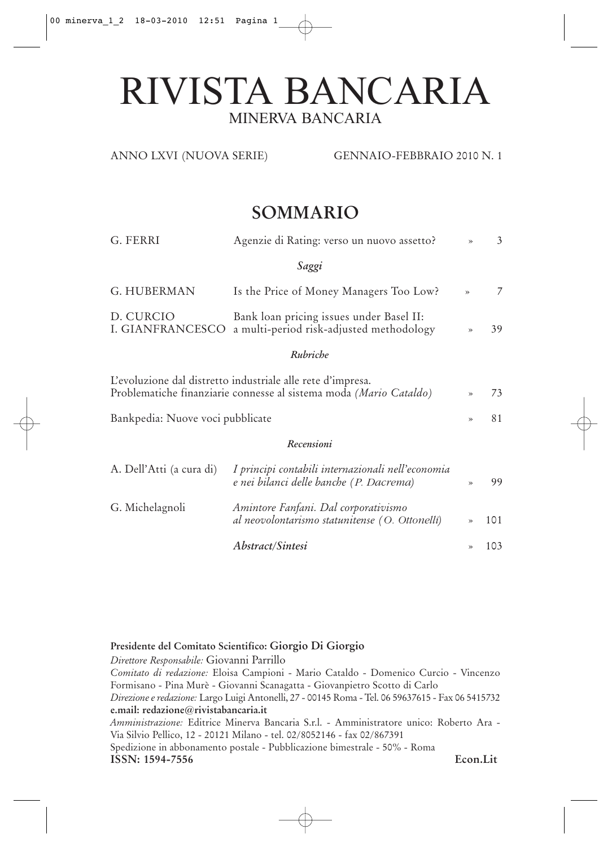# RIVISTA BANCARIA MINERVA BANCARIA

#### ANNO LXVI (NUOVA SERIE) GENNAIO-FEBBRAIO 2010 N. 1

# **SOMMARIO**

| G. FERRI                                                                                                                          | Agenzie di Rating: verso un nuovo assetto?                                             | $\rightarrow$ | 3   |  |
|-----------------------------------------------------------------------------------------------------------------------------------|----------------------------------------------------------------------------------------|---------------|-----|--|
|                                                                                                                                   | Saggi                                                                                  |               |     |  |
| G. HUBERMAN                                                                                                                       | Is the Price of Money Managers Too Low?                                                | $\gg$         | 7   |  |
| D. CURCIO<br>I. GIANFRANCESCO                                                                                                     | Bank loan pricing issues under Basel II:<br>a multi-period risk-adjusted methodology   | $\gg$         | 39  |  |
|                                                                                                                                   | Rubriche                                                                               |               |     |  |
| L'evoluzione dal distretto industriale alle rete d'impresa.<br>Problematiche finanziarie connesse al sistema moda (Mario Cataldo) |                                                                                        |               |     |  |
| Bankpedia: Nuove voci pubblicate                                                                                                  |                                                                                        |               |     |  |
|                                                                                                                                   | Recensioni                                                                             |               |     |  |
| I principi contabili internazionali nell'economia<br>A. Dell'Atti (a cura di)<br>e nei bilanci delle banche (P. Dacrema)          |                                                                                        | $\gg$         | 99  |  |
| G. Michelagnoli                                                                                                                   | Amintore Fanfani. Dal corporativismo<br>al neovolontarismo statunitense (O. Ottonelli) | ≫             | 101 |  |
|                                                                                                                                   | <i>Abstract/Sintesi</i>                                                                | $\gg$         | 103 |  |

**Presidente del Comitato Scientifico: Giorgio Di Giorgio**

*Direttore Responsabile:* Giovanni Parrillo

*Comitato di redazione:* Eloisa Campioni - Mario Cataldo - Domenico Curcio - Vincenzo Formisano - Pina Murè - Giovanni Scanagatta - Giovanpietro Scotto di Carlo *Direzione e redazione:* Largo Luigi Antonelli, 27 - 00145 Roma - Tel. 06 59637615 - Fax 06 5415732 **e.mail: redazione@rivistabancaria.it**

*Amministrazione:* Editrice Minerva Bancaria S.r.l. - Amministratore unico: Roberto Ara - Via Silvio Pellico, 12 - 20121 Milano - tel. 02/8052146 - fax 02/867391 Spedizione in abbonamento postale - Pubblicazione bimestrale - 50% - Roma **ISSN: 1594-7556 Econ.Lit**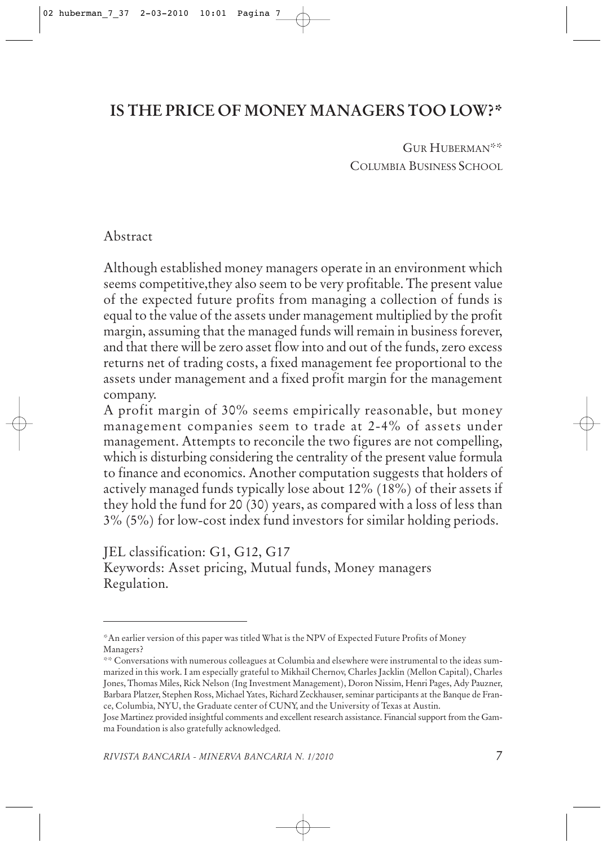# **IS THE PRICE OF MONEY MANAGERS TOO LOW?\***

GUR HUBERMAN\*\* COLUMBIA BUSINESS SCHOOL

### Abstract

Although established money managers operate in an environment which seems competitive,they also seem to be very profitable. The present value of the expected future profits from managing a collection of funds is equal to the value of the assets under management multiplied by the profit margin, assuming that the managed funds will remain in business forever, and that there will be zero asset flow into and out of the funds, zero excess returns net of trading costs, a fixed management fee proportional to the assets under management and a fixed profit margin for the management company.

A profit margin of 30% seems empirically reasonable, but money management companies seem to trade at 2-4% of assets under management. Attempts to reconcile the two figures are not compelling, which is disturbing considering the centrality of the present value formula to finance and economics. Another computation suggests that holders of actively managed funds typically lose about 12% (18%) of their assets if they hold the fund for 20 (30) years, as compared with a loss of less than 3% (5%) for low-cost index fund investors for similar holding periods.

JEL classification: G1, G12, G17 Keywords: Asset pricing, Mutual funds, Money managers Regulation.

<sup>\*</sup>An earlier version of this paper was titled What is the NPV of Expected Future Profits of Money Managers?

<sup>\*\*</sup> Conversations with numerous colleagues at Columbia and elsewhere were instrumental to the ideas summarized in this work. I am especially grateful to Mikhail Chernov, Charles Jacklin (Mellon Capital), Charles Jones, Thomas Miles, Rick Nelson (Ing Investment Management), Doron Nissim, Henri Pages, Ady Pauzner, Barbara Platzer, Stephen Ross, Michael Yates, Richard Zeckhauser, seminar participants at the Banque de France, Columbia, NYU, the Graduate center of CUNY, and the University of Texas at Austin.

Jose Martinez provided insightful comments and excellent research assistance. Financial support from the Gamma Foundation is also gratefully acknowledged.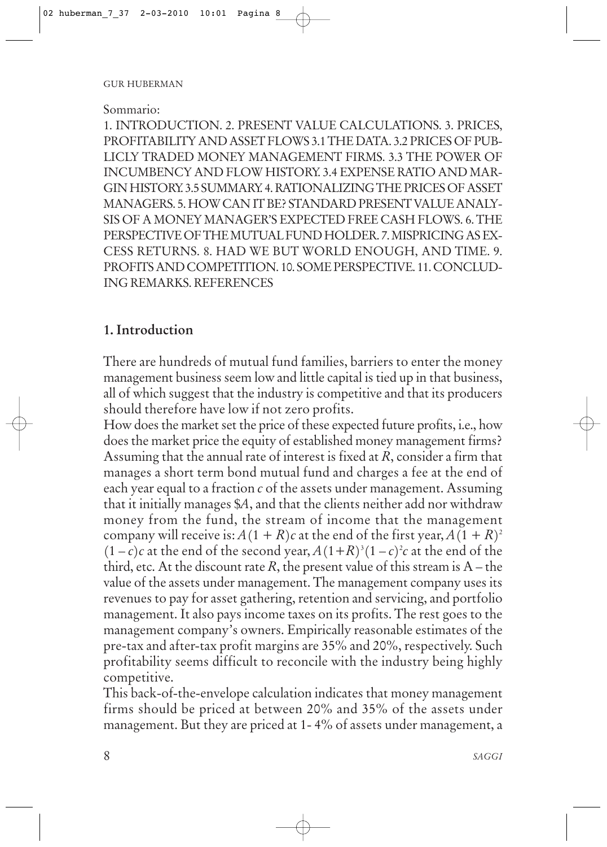#### Sommario:

1. INTRODUCTION. 2. PRESENT VALUE CALCULATIONS. 3. PRICES, PROFITABILITY AND ASSET FLOWS 3.1 THE DATA. 3.2 PRICES OF PUB-LICLY TRADED MONEY MANAGEMENT FIRMS. 3.3 THE POWER OF INCUMBENCY AND FLOW HISTORY. 3.4 EXPENSE RATIO AND MAR-GIN HISTORY. 3.5 SUMMARY. 4. RATIONALIZING THE PRICES OF ASSET MANAGERS. 5. HOW CAN IT BE? STANDARD PRESENT VALUE ANALY-SIS OF A MONEY MANAGER'S EXPECTED FREE CASH FLOWS. 6. THE PERSPECTIVE OF THE MUTUAL FUND HOLDER. 7. MISPRICING AS EX-CESS RETURNS. 8. HAD WE BUT WORLD ENOUGH, AND TIME. 9. PROFITS AND COMPETITION. 10. SOME PERSPECTIVE. 11. CONCLUD-ING REMARKS. REFERENCES

### **1. Introduction**

There are hundreds of mutual fund families, barriers to enter the money management business seem low and little capital is tied up in that business, all of which suggest that the industry is competitive and that its producers should therefore have low if not zero profits.

How does the market set the price of these expected future profits, i.e., how does the market price the equity of established money management firms? Assuming that the annual rate of interest is fixed at *R*, consider a firm that manages a short term bond mutual fund and charges a fee at the end of each year equal to a fraction *c* of the assets under management. Assuming that it initially manages \$*A*, and that the clients neither add nor withdraw money from the fund, the stream of income that the management company will receive is:  $A(1 + R)c$  at the end of the first year,  $A(1 + R)^2$  $(1-c)c$  at the end of the second year,  $A(1+R)^3(1-c)^2c$  at the end of the third, etc. At the discount rate  $R$ , the present value of this stream is  $A$  – the value of the assets under management. The management company uses its revenues to pay for asset gathering, retention and servicing, and portfolio management. It also pays income taxes on its profits. The rest goes to the management company's owners. Empirically reasonable estimates of the pre-tax and after-tax profit margins are 35% and 20%, respectively. Such profitability seems difficult to reconcile with the industry being highly competitive.

This back-of-the-envelope calculation indicates that money management firms should be priced at between 20% and 35% of the assets under management. But they are priced at 1- 4% of assets under management, a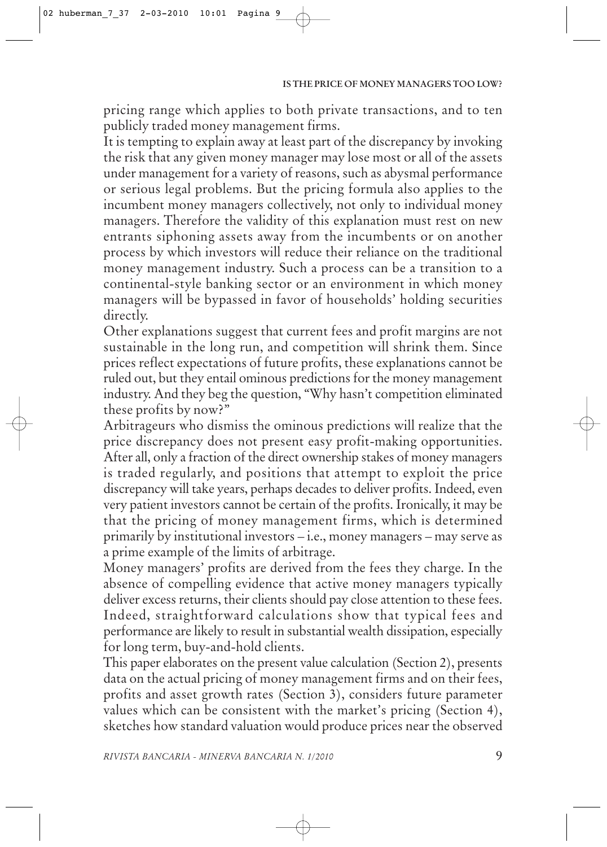pricing range which applies to both private transactions, and to ten publicly traded money management firms.

It is tempting to explain away at least part of the discrepancy by invoking the risk that any given money manager may lose most or all of the assets under management for a variety of reasons, such as abysmal performance or serious legal problems. But the pricing formula also applies to the incumbent money managers collectively, not only to individual money managers. Therefore the validity of this explanation must rest on new entrants siphoning assets away from the incumbents or on another process by which investors will reduce their reliance on the traditional money management industry. Such a process can be a transition to a continental-style banking sector or an environment in which money managers will be bypassed in favor of households' holding securities directly.

Other explanations suggest that current fees and profit margins are not sustainable in the long run, and competition will shrink them. Since prices reflect expectations of future profits, these explanations cannot be ruled out, but they entail ominous predictions for the money management industry. And they beg the question, "Why hasn't competition eliminated these profits by now?"

Arbitrageurs who dismiss the ominous predictions will realize that the price discrepancy does not present easy profit-making opportunities. After all, only a fraction of the direct ownership stakes of money managers is traded regularly, and positions that attempt to exploit the price discrepancy will take years, perhaps decades to deliver profits. Indeed, even very patient investors cannot be certain of the profits. Ironically, it may be that the pricing of money management firms, which is determined primarily by institutional investors – i.e., money managers – may serve as a prime example of the limits of arbitrage.

Money managers' profits are derived from the fees they charge. In the absence of compelling evidence that active money managers typically deliver excess returns, their clients should pay close attention to these fees. Indeed, straightforward calculations show that typical fees and performance are likely to result in substantial wealth dissipation, especially for long term, buy-and-hold clients.

This paper elaborates on the present value calculation (Section 2), presents data on the actual pricing of money management firms and on their fees, profits and asset growth rates (Section 3), considers future parameter values which can be consistent with the market's pricing (Section 4), sketches how standard valuation would produce prices near the observed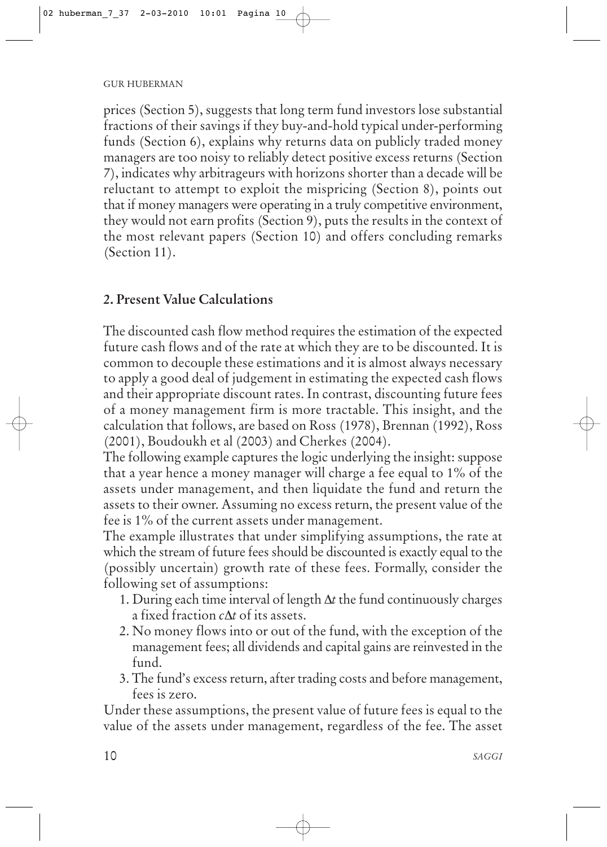prices (Section 5), suggests that long term fund investors lose substantial fractions of their savings if they buy-and-hold typical under-performing funds (Section 6), explains why returns data on publicly traded money managers are too noisy to reliably detect positive excess returns (Section 7), indicates why arbitrageurs with horizons shorter than a decade will be reluctant to attempt to exploit the mispricing (Section 8), points out that if money managers were operating in a truly competitive environment, they would not earn profits (Section 9), puts the results in the context of the most relevant papers (Section 10) and offers concluding remarks (Section 11).

### **2. Present Value Calculations**

The discounted cash flow method requires the estimation of the expected future cash flows and of the rate at which they are to be discounted. It is common to decouple these estimations and it is almost always necessary to apply a good deal of judgement in estimating the expected cash flows and their appropriate discount rates. In contrast, discounting future fees of a money management firm is more tractable. This insight, and the calculation that follows, are based on Ross (1978), Brennan (1992), Ross (2001), Boudoukh et al (2003) and Cherkes (2004).

The following example captures the logic underlying the insight: suppose that a year hence a money manager will charge a fee equal to 1% of the assets under management, and then liquidate the fund and return the assets to their owner. Assuming no excess return, the present value of the fee is 1% of the current assets under management.

The example illustrates that under simplifying assumptions, the rate at which the stream of future fees should be discounted is exactly equal to the (possibly uncertain) growth rate of these fees. Formally, consider the following set of assumptions:

- 1. During each time interval of length ∆*t* the fund continuously charges a fixed fraction *c*∆*t* of its assets.
- 2. No money flows into or out of the fund, with the exception of the management fees; all dividends and capital gains are reinvested in the fund.
- 3. The fund's excess return, after trading costs and before management, fees is zero.

Under these assumptions, the present value of future fees is equal to the value of the assets under management, regardless of the fee. The asset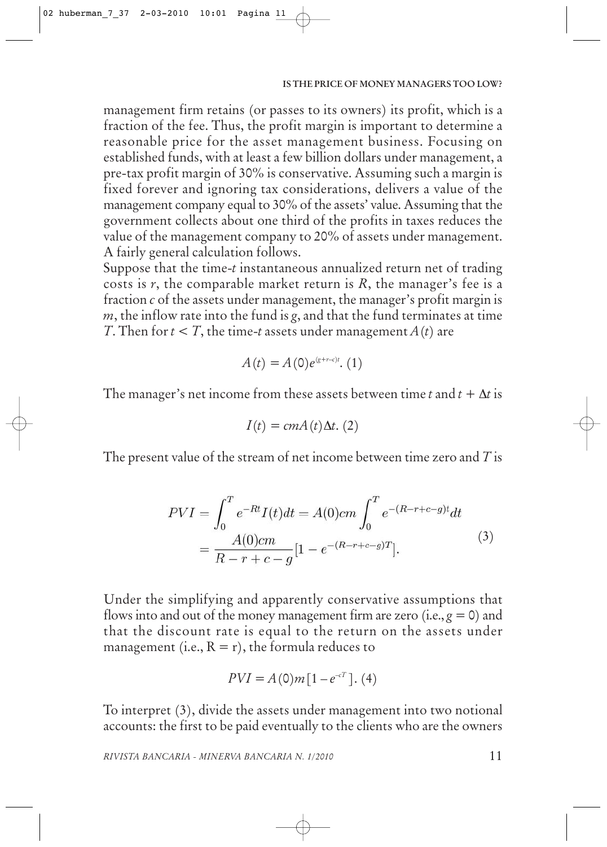management firm retains (or passes to its owners) its profit, which is a fraction of the fee. Thus, the profit margin is important to determine a reasonable price for the asset management business. Focusing on established funds, with at least a few billion dollars under management, a pre-tax profit margin of 30% is conservative. Assuming such a margin is fixed forever and ignoring tax considerations, delivers a value of the management company equal to 30% of the assets' value. Assuming that the government collects about one third of the profits in taxes reduces the value of the management company to 20% of assets under management. A fairly general calculation follows.

Suppose that the time-*t* instantaneous annualized return net of trading costs is *r*, the comparable market return is *R*, the manager's fee is a fraction *c* of the assets under management, the manager's profit margin is *m*, the inflow rate into the fund is *g*, and that the fund terminates at time *T*. Then for  $t < T$ , the time-*t* assets under management  $A(t)$  are

$$
A(t) = A(0)e^{(g+r-c)t} \cdot (1)
$$

The manager's net income from these assets between time *t* and  $t + \Delta t$  is

$$
I(t) = cmA(t)\Delta t. (2)
$$

The present value of the stream of net income between time zero and *T* is

$$
PVI = \int_0^T e^{-Rt} I(t)dt = A(0)cm \int_0^T e^{-(R-r+c-g)t} dt
$$
  
= 
$$
\frac{A(0)cm}{R-r+c-g} [1 - e^{-(R-r+c-g)T}].
$$
 (3)

Under the simplifying and apparently conservative assumptions that flows into and out of the money management firm are zero (i.e.,  $g = 0$ ) and that the discount rate is equal to the return on the assets under management (i.e.,  $R = r$ ), the formula reduces to

$$
PVI = A(0)m[1 - e^{-cT}]. (4)
$$

To interpret (3), divide the assets under management into two notional accounts: the first to be paid eventually to the clients who are the owners

*RIVISTA BANCARIA - MINERVA BANCARIA N. 1/2010*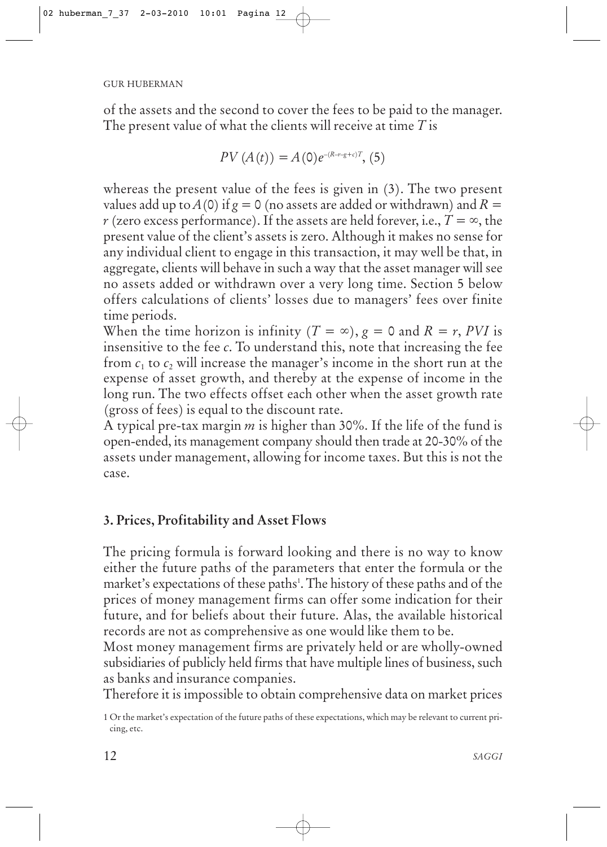of the assets and the second to cover the fees to be paid to the manager. The present value of what the clients will receive at time *T* is

$$
PV(A(t)) = A(0)e^{-(R-r-g+c)T}, (5)
$$

whereas the present value of the fees is given in (3). The two present values add up to *A*(0) if  $g = 0$  (no assets are added or withdrawn) and  $R =$ *r* (zero excess performance). If the assets are held forever, i.e.,  $T = \infty$ , the present value of the client's assets is zero. Although it makes no sense for any individual client to engage in this transaction, it may well be that, in aggregate, clients will behave in such a way that the asset manager will see no assets added or withdrawn over a very long time. Section 5 below offers calculations of clients' losses due to managers' fees over finite time periods.

When the time horizon is infinity ( $T = \infty$ ),  $g = 0$  and  $R = r$ , *PVI* is insensitive to the fee *c*. To understand this, note that increasing the fee from  $c_1$  to  $c_2$  will increase the manager's income in the short run at the expense of asset growth, and thereby at the expense of income in the long run. The two effects offset each other when the asset growth rate (gross of fees) is equal to the discount rate.

A typical pre-tax margin *m* is higher than 30%. If the life of the fund is open-ended, its management company should then trade at 20-30% of the assets under management, allowing for income taxes. But this is not the case.

# **3. Prices, Profitability and Asset Flows**

The pricing formula is forward looking and there is no way to know either the future paths of the parameters that enter the formula or the market's expectations of these paths<sup>1</sup>. The history of these paths and of the prices of money management firms can offer some indication for their future, and for beliefs about their future. Alas, the available historical records are not as comprehensive as one would like them to be.

Most money management firms are privately held or are wholly-owned subsidiaries of publicly held firms that have multiple lines of business, such as banks and insurance companies.

Therefore it is impossible to obtain comprehensive data on market prices

<sup>1</sup> Or the market's expectation of the future paths of these expectations, which may be relevant to current pricing, etc.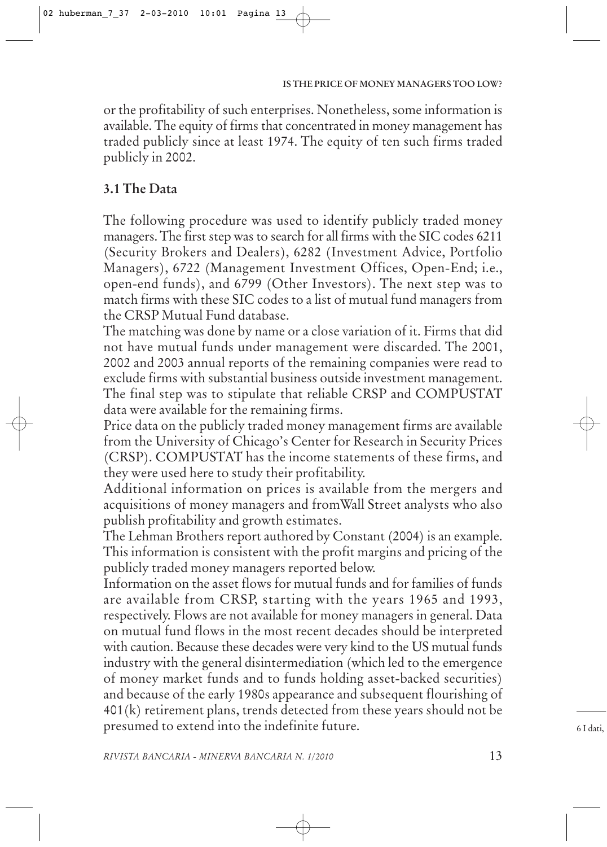or the profitability of such enterprises. Nonetheless, some information is available. The equity of firms that concentrated in money management has traded publicly since at least 1974. The equity of ten such firms traded publicly in 2002.

# **3.1 The Data**

The following procedure was used to identify publicly traded money managers. The first step was to search for all firms with the SIC codes 6211 (Security Brokers and Dealers), 6282 (Investment Advice, Portfolio Managers), 6722 (Management Investment Offices, Open-End; i.e., open-end funds), and 6799 (Other Investors). The next step was to match firms with these SIC codes to a list of mutual fund managers from the CRSP Mutual Fund database.

The matching was done by name or a close variation of it. Firms that did not have mutual funds under management were discarded. The 2001, 2002 and 2003 annual reports of the remaining companies were read to exclude firms with substantial business outside investment management. The final step was to stipulate that reliable CRSP and COMPUSTAT data were available for the remaining firms.

Price data on the publicly traded money management firms are available from the University of Chicago's Center for Research in Security Prices (CRSP). COMPUSTAT has the income statements of these firms, and they were used here to study their profitability.

Additional information on prices is available from the mergers and acquisitions of money managers and fromWall Street analysts who also publish profitability and growth estimates.

The Lehman Brothers report authored by Constant (2004) is an example. This information is consistent with the profit margins and pricing of the publicly traded money managers reported below.

Information on the asset flows for mutual funds and for families of funds are available from CRSP, starting with the years 1965 and 1993, respectively. Flows are not available for money managers in general. Data on mutual fund flows in the most recent decades should be interpreted with caution. Because these decades were very kind to the US mutual funds industry with the general disintermediation (which led to the emergence of money market funds and to funds holding asset-backed securities) and because of the early 1980s appearance and subsequent flourishing of 401(k) retirement plans, trends detected from these years should not be presumed to extend into the indefinite future.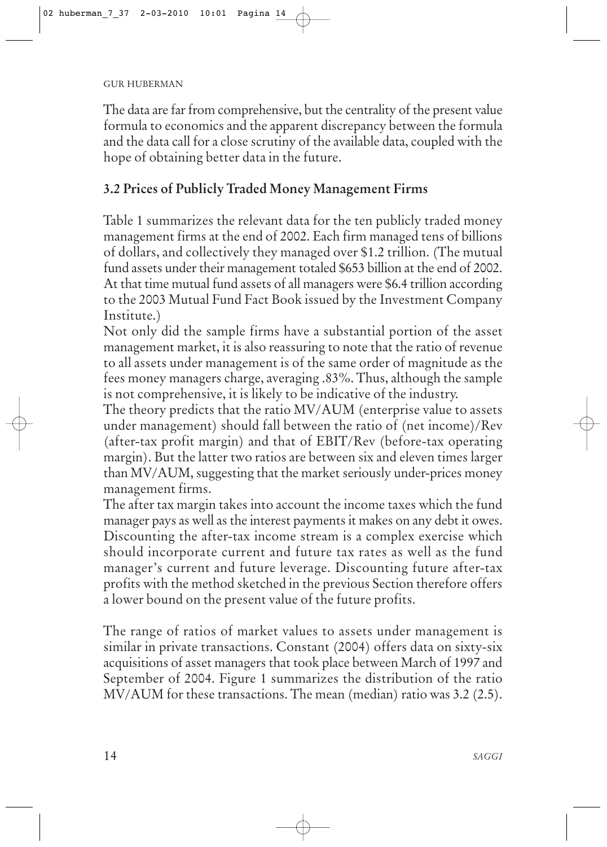The data are far from comprehensive, but the centrality of the present value formula to economics and the apparent discrepancy between the formula and the data call for a close scrutiny of the available data, coupled with the hope of obtaining better data in the future.

# **3.2 Prices of Publicly Traded Money Management Firms**

Table 1 summarizes the relevant data for the ten publicly traded money management firms at the end of 2002. Each firm managed tens of billions of dollars, and collectively they managed over \$1.2 trillion. (The mutual fund assets under their management totaled \$653 billion at the end of 2002. At that time mutual fund assets of all managers were \$6.4 trillion according to the 2003 Mutual Fund Fact Book issued by the Investment Company Institute.)

Not only did the sample firms have a substantial portion of the asset management market, it is also reassuring to note that the ratio of revenue to all assets under management is of the same order of magnitude as the fees money managers charge, averaging .83%. Thus, although the sample is not comprehensive, it is likely to be indicative of the industry.

The theory predicts that the ratio MV/AUM (enterprise value to assets under management) should fall between the ratio of (net income)/Rev (after-tax profit margin) and that of EBIT/Rev (before-tax operating margin). But the latter two ratios are between six and eleven times larger than MV/AUM, suggesting that the market seriously under-prices money management firms.

The after tax margin takes into account the income taxes which the fund manager pays as well as the interest payments it makes on any debt it owes. Discounting the after-tax income stream is a complex exercise which should incorporate current and future tax rates as well as the fund manager's current and future leverage. Discounting future after-tax profits with the method sketched in the previous Section therefore offers a lower bound on the present value of the future profits.

The range of ratios of market values to assets under management is similar in private transactions. Constant (2004) offers data on sixty-six acquisitions of asset managers that took place between March of 1997 and September of 2004. Figure 1 summarizes the distribution of the ratio MV/AUM for these transactions. The mean (median) ratio was 3.2 (2.5).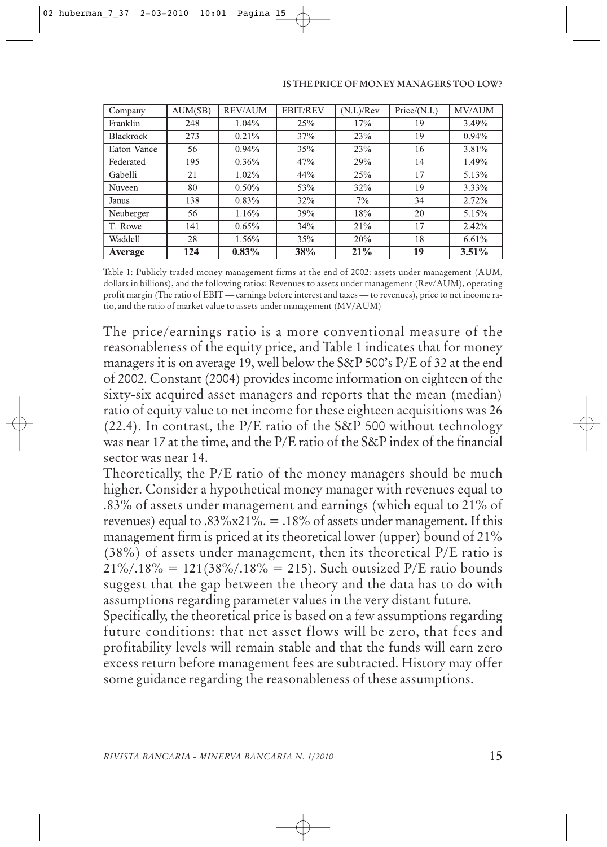#### **IS THE PRICE OF MONEY MANAGERS TOO LOW?**

| Company          | AUM(SB) | <b>REV/AUM</b> | <b>EBIT/REV</b> | (N.I.)/Rev | Price/(N.I.) | <b>MV/AUM</b> |
|------------------|---------|----------------|-----------------|------------|--------------|---------------|
| Franklin         | 248     | 1.04%          | 25%             | 17%        | 19           | 3.49%         |
| <b>Blackrock</b> | 273     | $0.21\%$       | 37%             | 23%        | 19           | $0.94\%$      |
| Eaton Vance      | 56      | $0.94\%$       | 35%             | 23%        | 16           | 3.81%         |
| Federated        | 195     | $0.36\%$       | 47%             | 29%        | 14           | 1.49%         |
| Gabelli          | 21      | $1.02\%$       | 44%             | 25%        | 17           | 5.13%         |
| Nuveen           | 80      | $0.50\%$       | 53%             | 32%        | 19           | $3.33\%$      |
| Janus            | 138     | 0.83%          | 32%             | 7%         | 34           | 2.72%         |
| Neuberger        | 56      | 1.16%          | 39%             | 18%        | 20           | 5.15%         |
| T. Rowe          | 141     | 0.65%          | 34%             | 21%        | 17           | 2.42%         |
| <b>Waddell</b>   | 28      | 1.56%          | 35%             | 20%        | 18           | 6.61%         |
| Average          | 124     | $0.83\%$       | 38%             | 21%        | 19           | $3.51\%$      |

Table 1: Publicly traded money management firms at the end of 2002: assets under management (AUM, dollars in billions), and the following ratios: Revenues to assets under management (Rev/AUM), operating profit margin (The ratio of EBIT — earnings before interest and taxes — to revenues), price to net income ratio, and the ratio of market value to assets under management (MV/AUM)

The price/earnings ratio is a more conventional measure of the reasonableness of the equity price, and Table 1 indicates that for money managers it is on average 19, well below the S&P 500's P/E of 32 at the end of 2002. Constant (2004) provides income information on eighteen of the sixty-six acquired asset managers and reports that the mean (median) ratio of equity value to net income for these eighteen acquisitions was 26 (22.4). In contrast, the P/E ratio of the S&P 500 without technology was near 17 at the time, and the P/E ratio of the S&P index of the financial sector was near 14.

Theoretically, the P/E ratio of the money managers should be much higher. Consider a hypothetical money manager with revenues equal to .83% of assets under management and earnings (which equal to 21% of revenues) equal to .83%x21%. = .18% of assets under management. If this management firm is priced at its theoretical lower (upper) bound of 21% (38%) of assets under management, then its theoretical P/E ratio is  $21\%/0.18\% = 121(38\%/0.18\% = 215)$ . Such outsized P/E ratio bounds suggest that the gap between the theory and the data has to do with assumptions regarding parameter values in the very distant future.

Specifically, the theoretical price is based on a few assumptions regarding future conditions: that net asset flows will be zero, that fees and profitability levels will remain stable and that the funds will earn zero excess return before management fees are subtracted. History may offer some guidance regarding the reasonableness of these assumptions.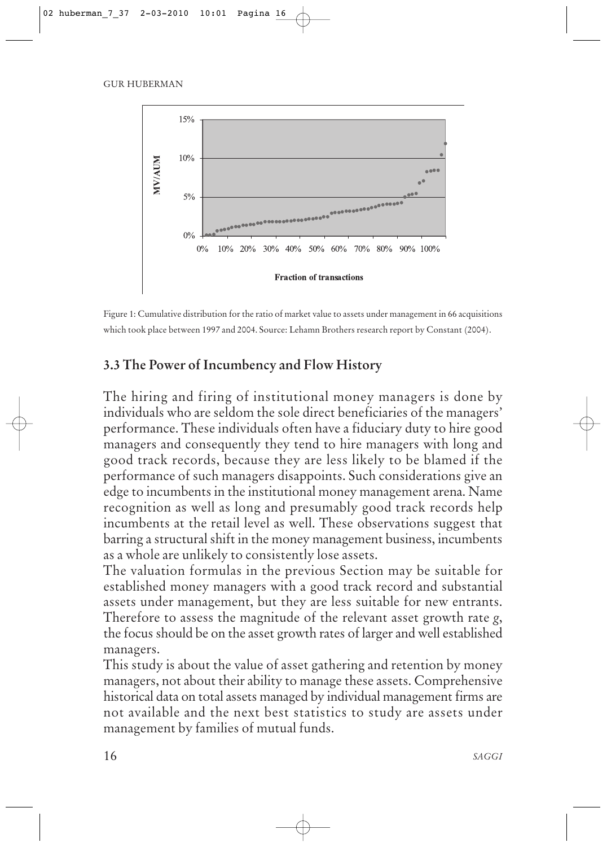

Figure 1: Cumulative distribution for the ratio of market value to assets under management in 66 acquisitions which took place between 1997 and 2004. Source: Lehamn Brothers research report by Constant (2004).

# **3.3 The Power of Incumbency and Flow History**

The hiring and firing of institutional money managers is done by individuals who are seldom the sole direct beneficiaries of the managers' performance. These individuals often have a fiduciary duty to hire good managers and consequently they tend to hire managers with long and good track records, because they are less likely to be blamed if the performance of such managers disappoints. Such considerations give an edge to incumbents in the institutional money management arena. Name recognition as well as long and presumably good track records help incumbents at the retail level as well. These observations suggest that barring a structural shift in the money management business, incumbents as a whole are unlikely to consistently lose assets.

The valuation formulas in the previous Section may be suitable for established money managers with a good track record and substantial assets under management, but they are less suitable for new entrants. Therefore to assess the magnitude of the relevant asset growth rate *g*, the focus should be on the asset growth rates of larger and well established managers.

This study is about the value of asset gathering and retention by money managers, not about their ability to manage these assets. Comprehensive historical data on total assets managed by individual management firms are not available and the next best statistics to study are assets under management by families of mutual funds.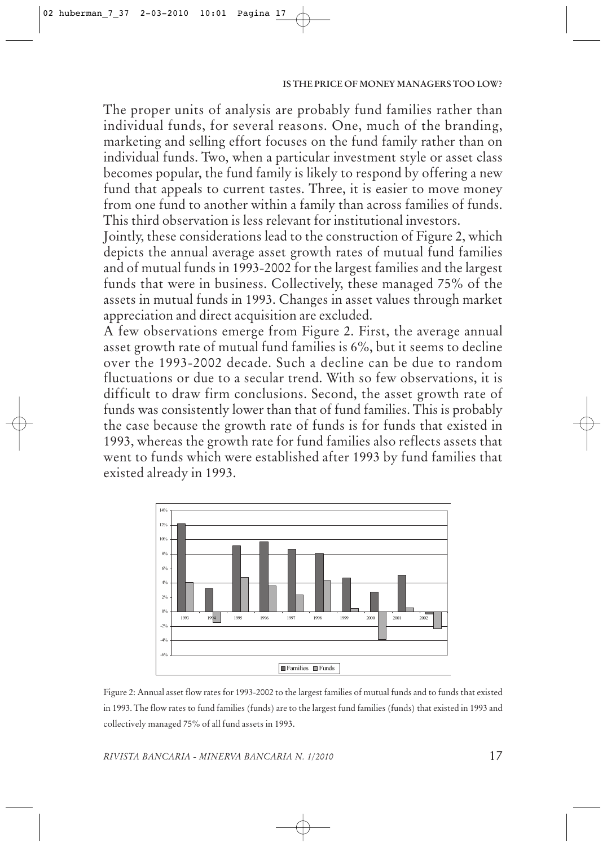The proper units of analysis are probably fund families rather than individual funds, for several reasons. One, much of the branding, marketing and selling effort focuses on the fund family rather than on individual funds. Two, when a particular investment style or asset class becomes popular, the fund family is likely to respond by offering a new fund that appeals to current tastes. Three, it is easier to move money from one fund to another within a family than across families of funds. This third observation is less relevant for institutional investors.

Jointly, these considerations lead to the construction of Figure 2, which depicts the annual average asset growth rates of mutual fund families and of mutual funds in 1993-2002 for the largest families and the largest funds that were in business. Collectively, these managed 75% of the assets in mutual funds in 1993. Changes in asset values through market appreciation and direct acquisition are excluded.

A few observations emerge from Figure 2. First, the average annual asset growth rate of mutual fund families is 6%, but it seems to decline over the 1993-2002 decade. Such a decline can be due to random fluctuations or due to a secular trend. With so few observations, it is difficult to draw firm conclusions. Second, the asset growth rate of funds was consistently lower than that of fund families. This is probably the case because the growth rate of funds is for funds that existed in 1993, whereas the growth rate for fund families also reflects assets that went to funds which were established after 1993 by fund families that existed already in 1993.



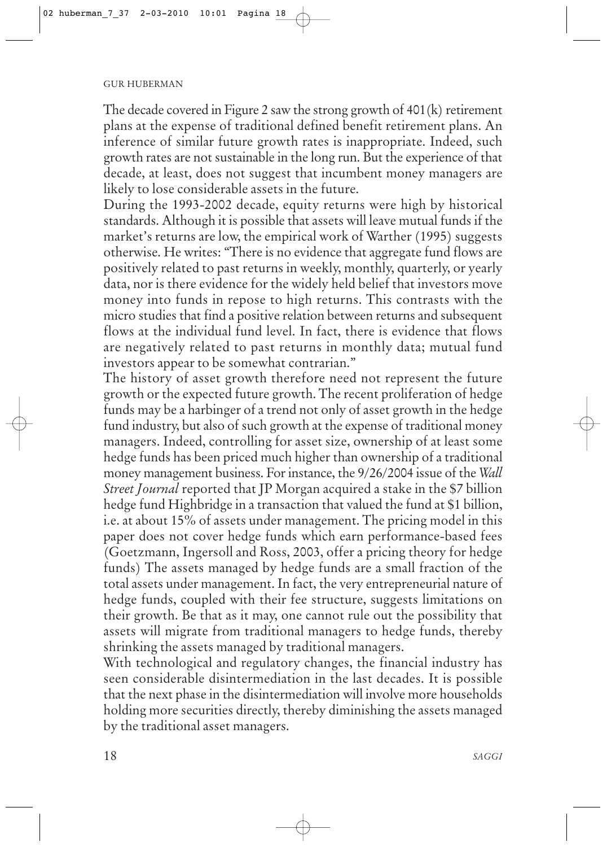The decade covered in Figure 2 saw the strong growth of 401(k) retirement plans at the expense of traditional defined benefit retirement plans. An inference of similar future growth rates is inappropriate. Indeed, such growth rates are not sustainable in the long run. But the experience of that decade, at least, does not suggest that incumbent money managers are likely to lose considerable assets in the future.

During the 1993-2002 decade, equity returns were high by historical standards. Although it is possible that assets will leave mutual funds if the market's returns are low, the empirical work of Warther (1995) suggests otherwise. He writes: "There is no evidence that aggregate fund flows are positively related to past returns in weekly, monthly, quarterly, or yearly data, nor is there evidence for the widely held belief that investors move money into funds in repose to high returns. This contrasts with the micro studies that find a positive relation between returns and subsequent flows at the individual fund level. In fact, there is evidence that flows are negatively related to past returns in monthly data; mutual fund investors appear to be somewhat contrarian."

The history of asset growth therefore need not represent the future growth or the expected future growth. The recent proliferation of hedge funds may be a harbinger of a trend not only of asset growth in the hedge fund industry, but also of such growth at the expense of traditional money managers. Indeed, controlling for asset size, ownership of at least some hedge funds has been priced much higher than ownership of a traditional money management business. For instance, the 9/26/2004 issue of the *Wall Street Journal* reported that JP Morgan acquired a stake in the \$7 billion hedge fund Highbridge in a transaction that valued the fund at \$1 billion, i.e. at about 15% of assets under management. The pricing model in this paper does not cover hedge funds which earn performance-based fees (Goetzmann, Ingersoll and Ross, 2003, offer a pricing theory for hedge funds) The assets managed by hedge funds are a small fraction of the total assets under management. In fact, the very entrepreneurial nature of hedge funds, coupled with their fee structure, suggests limitations on their growth. Be that as it may, one cannot rule out the possibility that assets will migrate from traditional managers to hedge funds, thereby shrinking the assets managed by traditional managers.

With technological and regulatory changes, the financial industry has seen considerable disintermediation in the last decades. It is possible that the next phase in the disintermediation will involve more households holding more securities directly, thereby diminishing the assets managed by the traditional asset managers.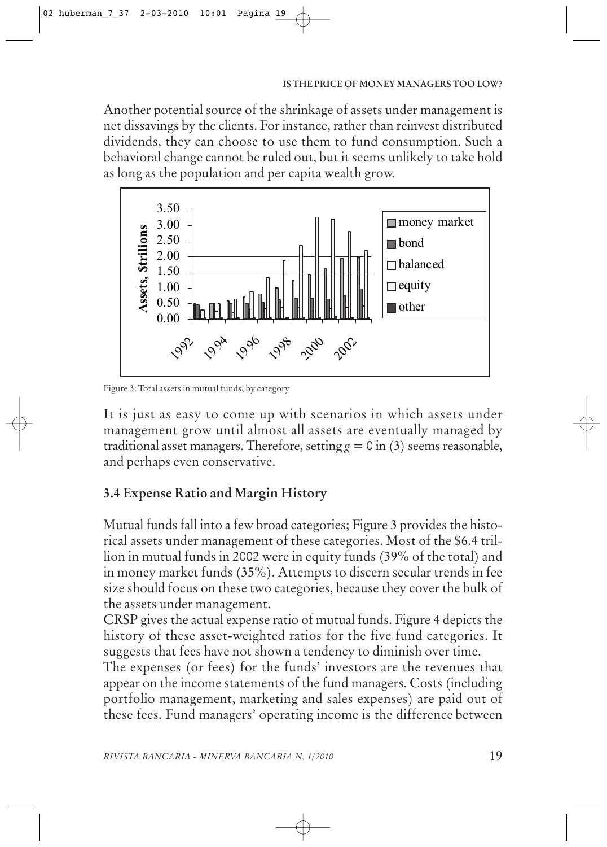Another potential source of the shrinkage of assets under management is net dissavings by the clients. For instance, rather than reinvest distributed dividends, they can choose to use them to fund consumption. Such a behavioral change cannot be ruled out, but it seems unlikely to take hold as long as the population and per capita wealth grow.



Figure 3: Total assets in mutual funds, by category

It is just as easy to come up with scenarios in which assets under management grow until almost all assets are eventually managed by traditional asset managers. Therefore, setting  $g = 0$  in (3) seems reasonable, and perhaps even conservative.

# **3.4 Expense Ratio and Margin History**

Mutual funds fall into a few broad categories; Figure 3 provides the historical assets under management of these categories. Most of the \$6.4 trillion in mutual funds in 2002 were in equity funds (39% of the total) and in money market funds (35%). Attempts to discern secular trends in fee size should focus on these two categories, because they cover the bulk of the assets under management.

CRSP gives the actual expense ratio of mutual funds. Figure 4 depicts the history of these asset-weighted ratios for the five fund categories. It suggests that fees have not shown a tendency to diminish over time.

The expenses (or fees) for the funds' investors are the revenues that appear on the income statements of the fund managers. Costs (including portfolio management, marketing and sales expenses) are paid out of these fees. Fund managers' operating income is the difference between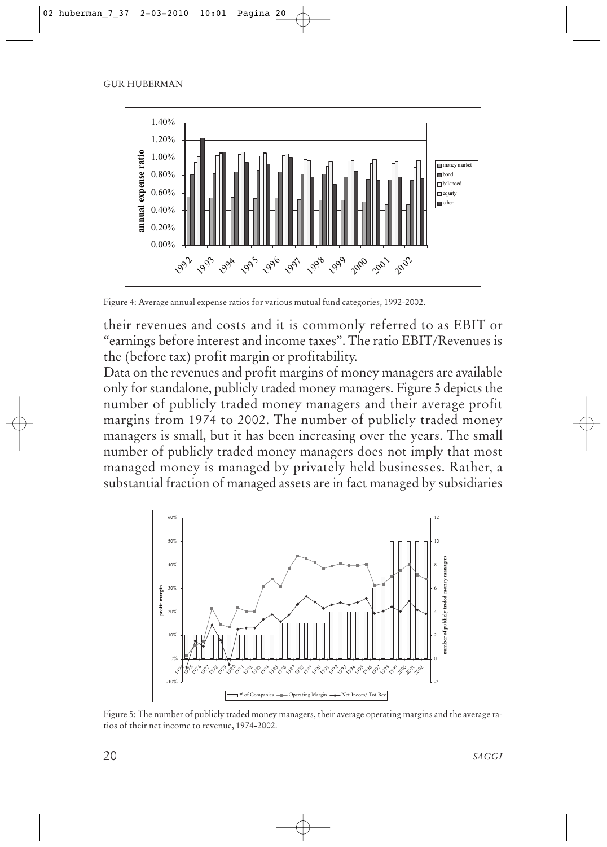

Figure 4: Average annual expense ratios for various mutual fund categories, 1992-2002.

their revenues and costs and it is commonly referred to as EBIT or "earnings before interest and income taxes". The ratio EBIT/Revenues is the (before tax) profit margin or profitability.

Data on the revenues and profit margins of money managers are available only for standalone, publicly traded money managers. Figure 5 depicts the number of publicly traded money managers and their average profit margins from 1974 to 2002. The number of publicly traded money managers is small, but it has been increasing over the years. The small number of publicly traded money managers does not imply that most managed money is managed by privately held businesses. Rather, a substantial fraction of managed assets are in fact managed by subsidiaries



Figure 5: The number of publicly traded money managers, their average operating margins and the average ratios of their net income to revenue, 1974-2002.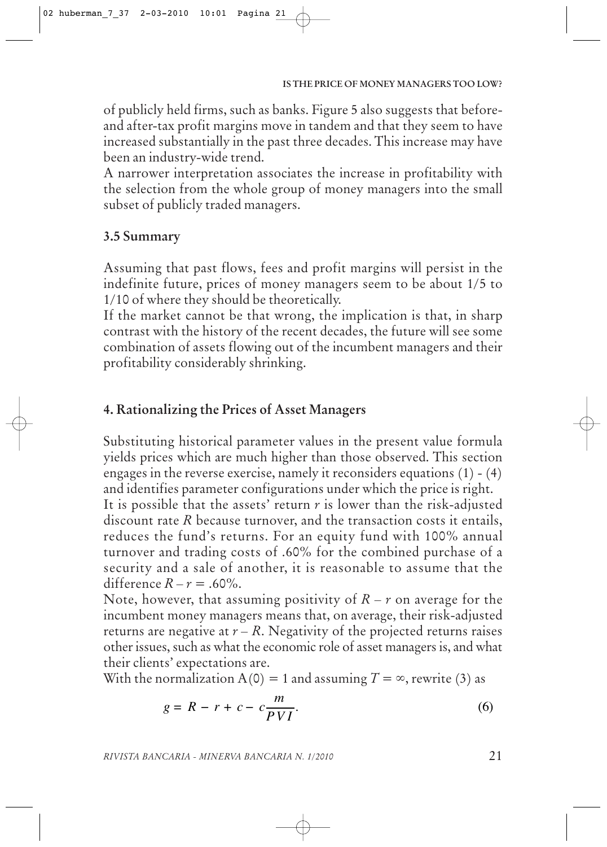of publicly held firms, such as banks. Figure 5 also suggests that beforeand after-tax profit margins move in tandem and that they seem to have increased substantially in the past three decades. This increase may have been an industry-wide trend.

A narrower interpretation associates the increase in profitability with the selection from the whole group of money managers into the small subset of publicly traded managers.

# **3.5 Summary**

Assuming that past flows, fees and profit margins will persist in the indefinite future, prices of money managers seem to be about 1/5 to 1/10 of where they should be theoretically.

If the market cannot be that wrong, the implication is that, in sharp contrast with the history of the recent decades, the future will see some combination of assets flowing out of the incumbent managers and their profitability considerably shrinking.

# **4. Rationalizing the Prices of Asset Managers**

Substituting historical parameter values in the present value formula yields prices which are much higher than those observed. This section engages in the reverse exercise, namely it reconsiders equations (1) - (4) and identifies parameter configurations under which the price is right.

It is possible that the assets' return *r* is lower than the risk-adjusted discount rate *R* because turnover, and the transaction costs it entails, reduces the fund's returns. For an equity fund with 100% annual turnover and trading costs of .60% for the combined purchase of a security and a sale of another, it is reasonable to assume that the difference  $R - r = .60\%$ .

Note, however, that assuming positivity of  $R - r$  on average for the incumbent money managers means that, on average, their risk-adjusted returns are negative at  $r - R$ . Negativity of the projected returns raises other issues, such as what the economic role of asset managers is, and what their clients' expectations are.

With the normalization  $A(0) = 1$  and assuming  $T = \infty$ , rewrite (3) as

$$
g = R - r + c - c \frac{m}{PVI}.\tag{6}
$$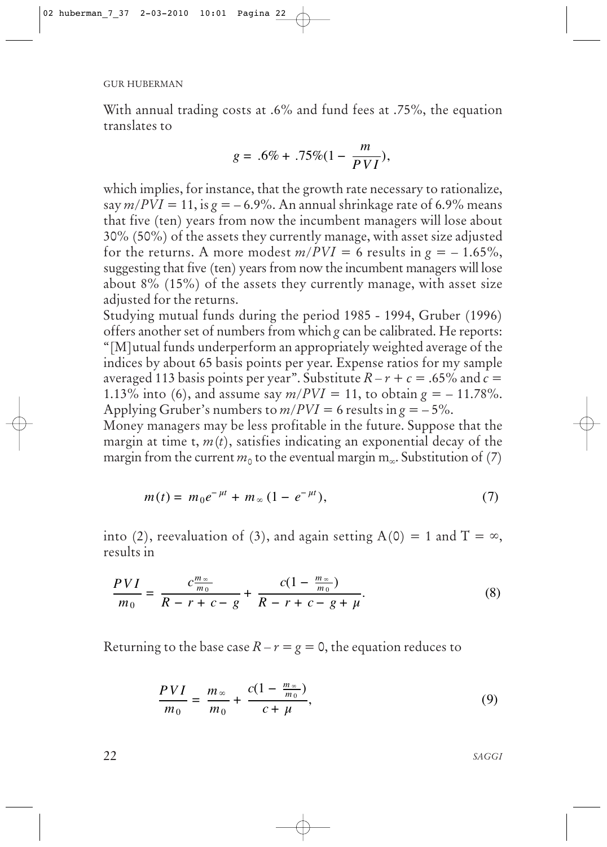With annual trading costs at .6% and fund fees at .75%, the equation translates to

$$
g = .6\% + .75\% (1 - \frac{m}{PVI}),
$$

which implies, for instance, that the growth rate necessary to rationalize, say  $m/PVI = 11$ , is  $g = -6.9\%$ . An annual shrinkage rate of 6.9% means that five (ten) years from now the incumbent managers will lose about 30% (50%) of the assets they currently manage, with asset size adjusted for the returns. A more modest  $m/PVI = 6$  results in  $g = -1.65\%$ , suggesting that five (ten) years from now the incumbent managers will lose about 8% (15%) of the assets they currently manage, with asset size adjusted for the returns.

Studying mutual funds during the period 1985 - 1994, Gruber (1996) offers another set of numbers from which *g* can be calibrated. He reports: "[M]utual funds underperform an appropriately weighted average of the indices by about 65 basis points per year. Expense ratios for my sample averaged 113 basis points per year". Substitute  $R - r + c = .65\%$  and  $\vec{c} =$ 1.13% into (6), and assume say  $m/PVI = 11$ , to obtain  $g = -11.78$ %. Applying Gruber's numbers to  $m/PVI = 6$  results in  $g = -5\%$ .

Money managers may be less profitable in the future. Suppose that the margin at time t,  $m(t)$ , satisfies indicating an exponential decay of the margin from the current  $m_0$  to the eventual margin  $m_\infty$ . Substitution of (7)

$$
m(t) = m_0 e^{-\mu t} + m_\infty (1 - e^{-\mu t}), \tag{7}
$$

into (2), reevaluation of (3), and again setting A(0) = 1 and T =  $\infty$ , results in

$$
\frac{PVI}{m_0} = \frac{c\frac{m_{\infty}}{m_0}}{R - r + c - g} + \frac{c(1 - \frac{m_{\infty}}{m_0})}{R - r + c - g + \mu}.\tag{8}
$$

Returning to the base case  $R - r = g = 0$ , the equation reduces to

$$
\frac{PVI}{m_0} = \frac{m_{\infty}}{m_0} + \frac{c(1 - \frac{m_{\infty}}{m_0})}{c + \mu},\tag{9}
$$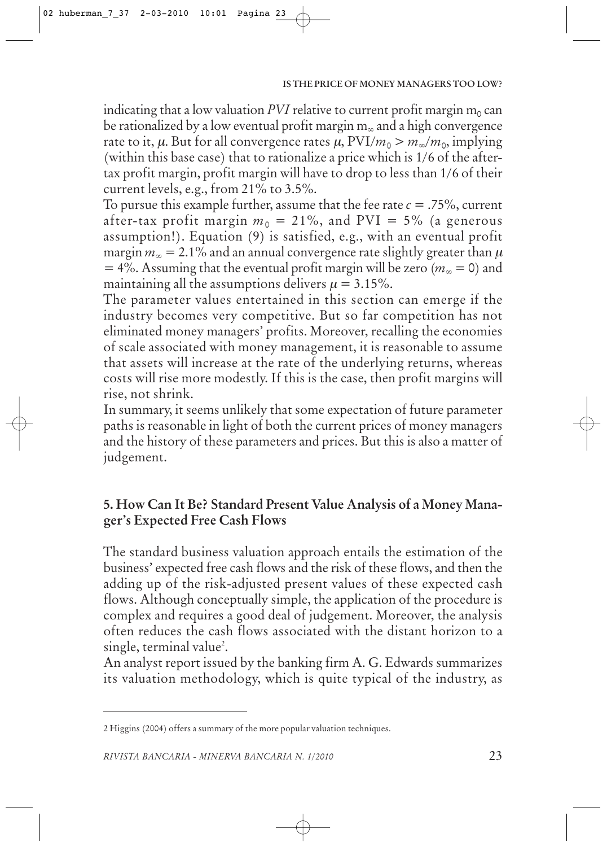indicating that a low valuation *PVI* relative to current profit margin  $m_0$  can be rationalized by a low eventual profit margin  $m_{\infty}$  and a high convergence rate to it,  $\mu$ . But for all convergence rates  $\mu$ ,  $PVI/m_0 > m_\infty/m_0$ , implying (within this base case) that to rationalize a price which is 1/6 of the aftertax profit margin, profit margin will have to drop to less than 1/6 of their current levels, e.g., from 21% to 3.5%.

To pursue this example further, assume that the fee rate  $c = .75$ %, current after-tax profit margin  $m_0 = 21\%$ , and PVI = 5% (a generous assumption!). Equation (9) is satisfied, e.g., with an eventual profit margin  $m_\infty = 2.1\%$  and an annual convergence rate slightly greater than  $\mu$  $= 4\%$ . Assuming that the eventual profit margin will be zero ( $m_\infty = 0$ ) and maintaining all the assumptions delivers  $\mu = 3.15\%$ .

The parameter values entertained in this section can emerge if the industry becomes very competitive. But so far competition has not eliminated money managers' profits. Moreover, recalling the economies of scale associated with money management, it is reasonable to assume that assets will increase at the rate of the underlying returns, whereas costs will rise more modestly. If this is the case, then profit margins will rise, not shrink.

In summary, it seems unlikely that some expectation of future parameter paths is reasonable in light of both the current prices of money managers and the history of these parameters and prices. But this is also a matter of judgement.

# **5. How Can It Be? Standard Present Value Analysis of a Money Manager's Expected Free Cash Flows**

The standard business valuation approach entails the estimation of the business' expected free cash flows and the risk of these flows, and then the adding up of the risk-adjusted present values of these expected cash flows. Although conceptually simple, the application of the procedure is complex and requires a good deal of judgement. Moreover, the analysis often reduces the cash flows associated with the distant horizon to a single, terminal value<sup>2</sup>.

An analyst report issued by the banking firm A. G. Edwards summarizes its valuation methodology, which is quite typical of the industry, as

<sup>2</sup> Higgins (2004) offers a summary of the more popular valuation techniques.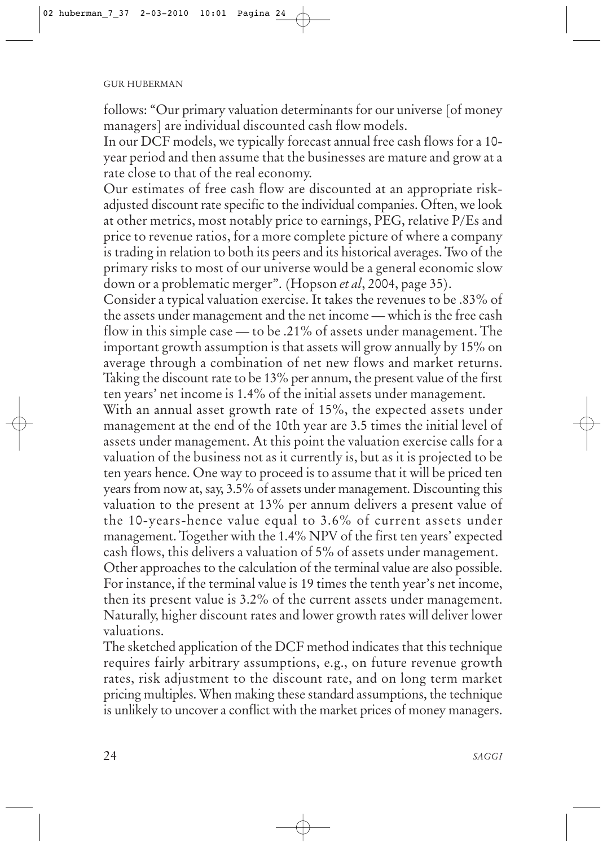follows: "Our primary valuation determinants for our universe [of money managers] are individual discounted cash flow models.

In our DCF models, we typically forecast annual free cash flows for a 10 year period and then assume that the businesses are mature and grow at a rate close to that of the real economy.

Our estimates of free cash flow are discounted at an appropriate riskadjusted discount rate specific to the individual companies. Often, we look at other metrics, most notably price to earnings, PEG, relative P/Es and price to revenue ratios, for a more complete picture of where a company is trading in relation to both its peers and its historical averages. Two of the primary risks to most of our universe would be a general economic slow down or a problematic merger". (Hopson *et al*, 2004, page 35).

Consider a typical valuation exercise. It takes the revenues to be .83% of the assets under management and the net income — which is the free cash flow in this simple case — to be .21% of assets under management. The important growth assumption is that assets will grow annually by 15% on average through a combination of net new flows and market returns. Taking the discount rate to be 13% per annum, the present value of the first ten years' net income is 1.4% of the initial assets under management.

With an annual asset growth rate of 15%, the expected assets under management at the end of the 10th year are 3.5 times the initial level of assets under management. At this point the valuation exercise calls for a valuation of the business not as it currently is, but as it is projected to be ten years hence. One way to proceed is to assume that it will be priced ten years from now at, say, 3.5% of assets under management. Discounting this valuation to the present at 13% per annum delivers a present value of the 10-years-hence value equal to 3.6% of current assets under management. Together with the 1.4% NPV of the first ten years' expected cash flows, this delivers a valuation of 5% of assets under management. Other approaches to the calculation of the terminal value are also possible.

For instance, if the terminal value is 19 times the tenth year's net income, then its present value is 3.2% of the current assets under management. Naturally, higher discount rates and lower growth rates will deliver lower valuations.

The sketched application of the DCF method indicates that this technique requires fairly arbitrary assumptions, e.g., on future revenue growth rates, risk adjustment to the discount rate, and on long term market pricing multiples. When making these standard assumptions, the technique is unlikely to uncover a conflict with the market prices of money managers.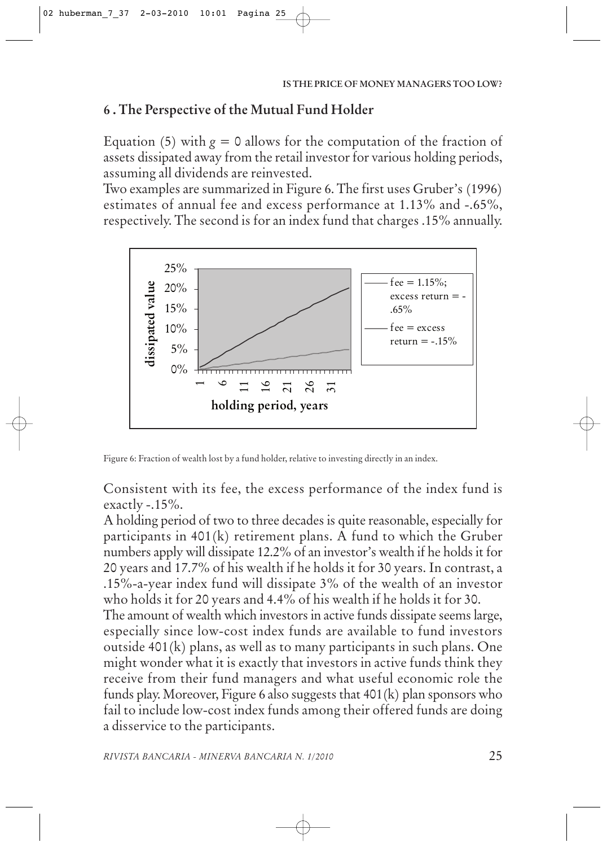# **6 . The Perspective of the Mutual Fund Holder**

Equation (5) with  $g = 0$  allows for the computation of the fraction of assets dissipated away from the retail investor for various holding periods, assuming all dividends are reinvested.

Two examples are summarized in Figure 6. The first uses Gruber's (1996) estimates of annual fee and excess performance at 1.13% and -.65%, respectively. The second is for an index fund that charges .15% annually.



Figure 6: Fraction of wealth lost by a fund holder, relative to investing directly in an index.

Consistent with its fee, the excess performance of the index fund is exactly -.15%.

A holding period of two to three decades is quite reasonable, especially for participants in 401(k) retirement plans. A fund to which the Gruber numbers apply will dissipate 12.2% of an investor's wealth if he holds it for 20 years and 17.7% of his wealth if he holds it for 30 years. In contrast, a .15%-a-year index fund will dissipate 3% of the wealth of an investor who holds it for 20 years and 4.4% of his wealth if he holds it for 30.

The amount of wealth which investors in active funds dissipate seems large, especially since low-cost index funds are available to fund investors outside 401(k) plans, as well as to many participants in such plans. One might wonder what it is exactly that investors in active funds think they receive from their fund managers and what useful economic role the funds play. Moreover, Figure 6 also suggests that 401(k) plan sponsors who fail to include low-cost index funds among their offered funds are doing a disservice to the participants.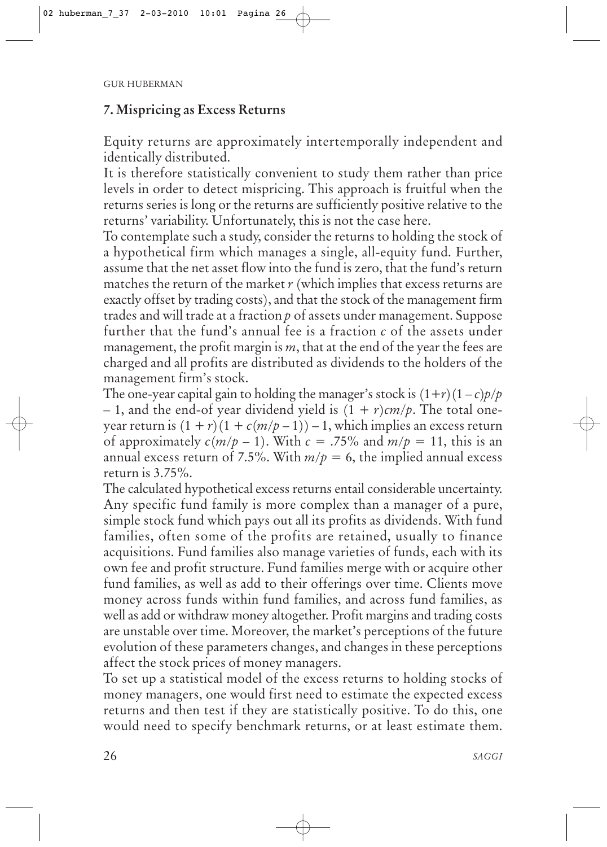## **7. Mispricing as Excess Returns**

Equity returns are approximately intertemporally independent and identically distributed.

It is therefore statistically convenient to study them rather than price levels in order to detect mispricing. This approach is fruitful when the returns series is long or the returns are sufficiently positive relative to the returns' variability. Unfortunately, this is not the case here.

To contemplate such a study, consider the returns to holding the stock of a hypothetical firm which manages a single, all-equity fund. Further, assume that the net asset flow into the fund is zero, that the fund's return matches the return of the market *r* (which implies that excess returns are exactly offset by trading costs), and that the stock of the management firm trades and will trade at a fraction *p* of assets under management. Suppose further that the fund's annual fee is a fraction *c* of the assets under management, the profit margin is *m*, that at the end of the year the fees are charged and all profits are distributed as dividends to the holders of the management firm's stock.

The one-year capital gain to holding the manager's stock is  $(1+r)(1-c)p/p$ – 1, and the end-of year dividend yield is  $(1 + r)$ *cm/p*. The total oneyear return is  $(1 + r)(1 + c(m/p - 1)) - 1$ , which implies an excess return of approximately  $c(m/p-1)$ . With  $c = .75\%$  and  $m/p = 11$ , this is an annual excess return of 7.5%. With  $m/p = 6$ , the implied annual excess return is 3.75%.

The calculated hypothetical excess returns entail considerable uncertainty. Any specific fund family is more complex than a manager of a pure, simple stock fund which pays out all its profits as dividends. With fund families, often some of the profits are retained, usually to finance acquisitions. Fund families also manage varieties of funds, each with its own fee and profit structure. Fund families merge with or acquire other fund families, as well as add to their offerings over time. Clients move money across funds within fund families, and across fund families, as well as add or withdraw money altogether. Profit margins and trading costs are unstable over time. Moreover, the market's perceptions of the future evolution of these parameters changes, and changes in these perceptions affect the stock prices of money managers.

To set up a statistical model of the excess returns to holding stocks of money managers, one would first need to estimate the expected excess returns and then test if they are statistically positive. To do this, one would need to specify benchmark returns, or at least estimate them.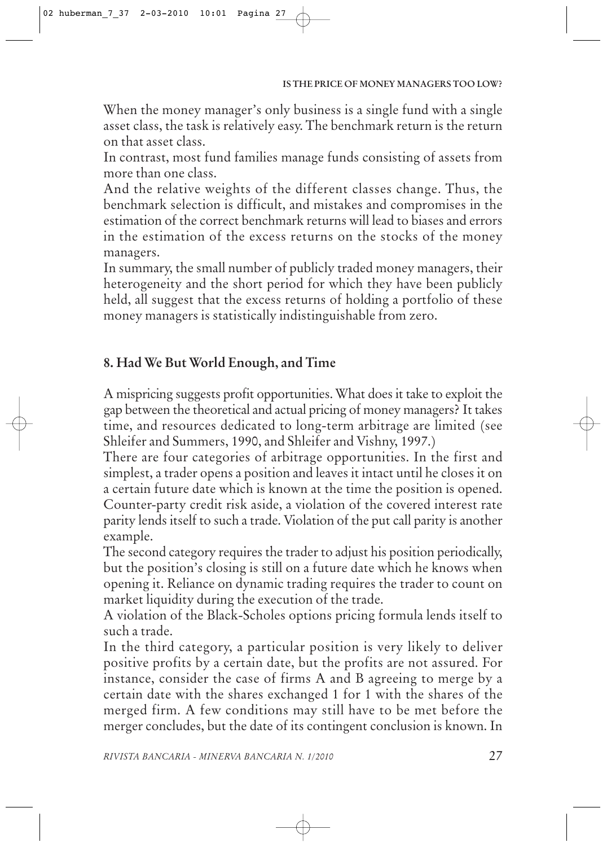When the money manager's only business is a single fund with a single asset class, the task is relatively easy. The benchmark return is the return on that asset class.

In contrast, most fund families manage funds consisting of assets from more than one class.

And the relative weights of the different classes change. Thus, the benchmark selection is difficult, and mistakes and compromises in the estimation of the correct benchmark returns will lead to biases and errors in the estimation of the excess returns on the stocks of the money managers.

In summary, the small number of publicly traded money managers, their heterogeneity and the short period for which they have been publicly held, all suggest that the excess returns of holding a portfolio of these money managers is statistically indistinguishable from zero.

# **8. Had We But World Enough, and Time**

A mispricing suggests profit opportunities. What does it take to exploit the gap between the theoretical and actual pricing of money managers? It takes time, and resources dedicated to long-term arbitrage are limited (see Shleifer and Summers, 1990, and Shleifer and Vishny, 1997.)

There are four categories of arbitrage opportunities. In the first and simplest, a trader opens a position and leaves it intact until he closes it on a certain future date which is known at the time the position is opened. Counter-party credit risk aside, a violation of the covered interest rate parity lends itself to such a trade. Violation of the put call parity is another example.

The second category requires the trader to adjust his position periodically, but the position's closing is still on a future date which he knows when opening it. Reliance on dynamic trading requires the trader to count on market liquidity during the execution of the trade.

A violation of the Black-Scholes options pricing formula lends itself to such a trade.

In the third category, a particular position is very likely to deliver positive profits by a certain date, but the profits are not assured. For instance, consider the case of firms A and B agreeing to merge by a certain date with the shares exchanged 1 for 1 with the shares of the merged firm. A few conditions may still have to be met before the merger concludes, but the date of its contingent conclusion is known. In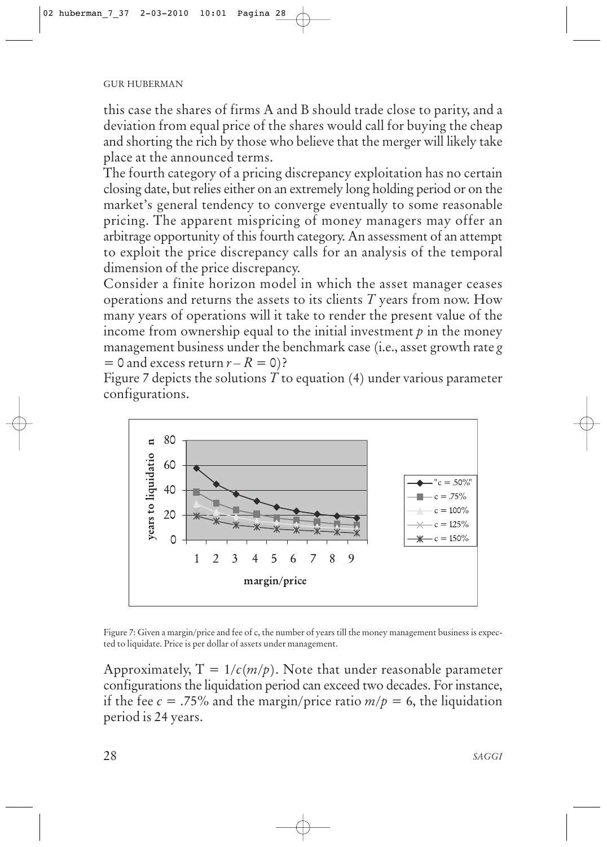this case the shares of firms A and B should trade close to parity, and a deviation from equal price of the shares would call for buying the cheap and shorting the rich by those who believe that the merger will likely take place at the announced terms.

The fourth category of a pricing discrepancy exploitation has no certain closing date, but relies either on an extremely long holding period or on the market's general tendency to converge eventually to some reasonable pricing. The apparent mispricing of money managers may offer an arbitrage opportunity of this fourth category. An assessment of an attempt to exploit the price discrepancy calls for an analysis of the temporal dimension of the price discrepancy.

Consider a finite horizon model in which the asset manager ceases operations and returns the assets to its clients *T* years from now. How many years of operations will it take to render the present value of the income from ownership equal to the initial investment  $p$  in the money management business under the benchmark case (i.e., asset growth rate *g*  $= 0$  and excess return  $r - R = 0$ )?

Figure 7 depicts the solutions *T* to equation (4) under various parameter configurations.



Figure 7: Given a margin/price and fee of c, the number of years till the money management business is expected to liquidate. Price is per dollar of assets under management.

Approximately,  $T = 1/c(m/p)$ . Note that under reasonable parameter configurations the liquidation period can exceed two decades. For instance, if the fee  $c = 0.75\%$  and the margin/price ratio  $m/p = 6$ , the liquidation period is 24 years.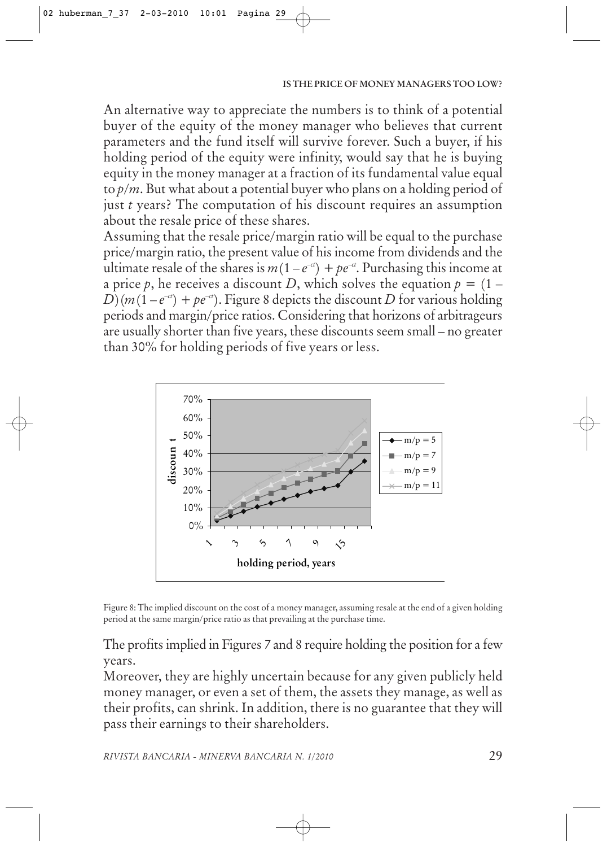An alternative way to appreciate the numbers is to think of a potential buyer of the equity of the money manager who believes that current parameters and the fund itself will survive forever. Such a buyer, if his holding period of the equity were infinity, would say that he is buying equity in the money manager at a fraction of its fundamental value equal to *p*/*m*. But what about a potential buyer who plans on a holding period of just *t* years? The computation of his discount requires an assumption about the resale price of these shares.

Assuming that the resale price/margin ratio will be equal to the purchase price/margin ratio, the present value of his income from dividends and the ultimate resale of the shares is  $m(1-e^{-ct}) + pe^{-ct}$ . Purchasing this income at a price p, he receives a discount D, which solves the equation  $p = (1 D(m(1-e^{-ct}) + pe^{-ct})$ . Figure 8 depicts the discount *D* for various holding periods and margin/price ratios. Considering that horizons of arbitrageurs are usually shorter than five years, these discounts seem small – no greater than 30% for holding periods of five years or less.



Figure 8: The implied discount on the cost of a money manager, assuming resale at the end of a given holding period at the same margin/price ratio as that prevailing at the purchase time.

The profits implied in Figures 7 and 8 require holding the position for a few years.

Moreover, they are highly uncertain because for any given publicly held money manager, or even a set of them, the assets they manage, as well as their profits, can shrink. In addition, there is no guarantee that they will pass their earnings to their shareholders.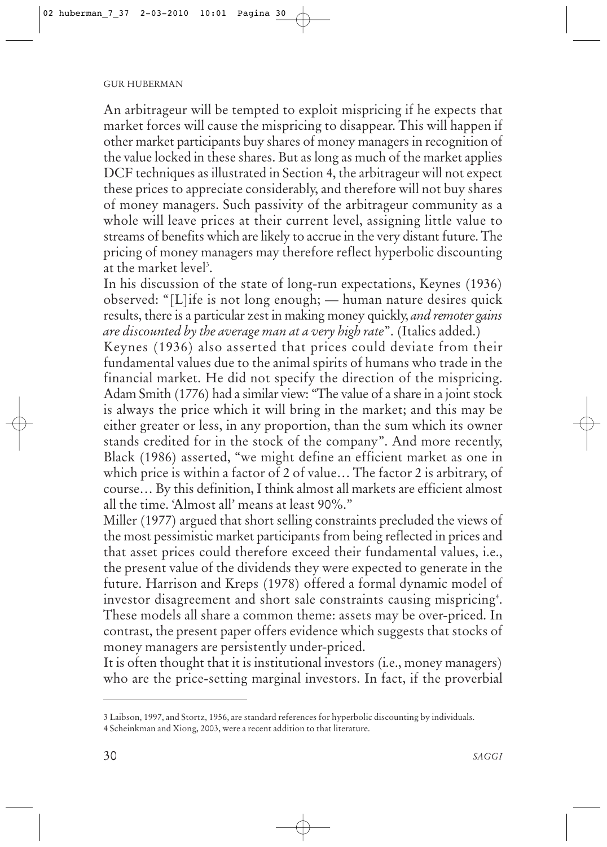An arbitrageur will be tempted to exploit mispricing if he expects that market forces will cause the mispricing to disappear. This will happen if other market participants buy shares of money managers in recognition of the value locked in these shares. But as long as much of the market applies DCF techniques as illustrated in Section 4, the arbitrageur will not expect these prices to appreciate considerably, and therefore will not buy shares of money managers. Such passivity of the arbitrageur community as a whole will leave prices at their current level, assigning little value to streams of benefits which are likely to accrue in the very distant future. The pricing of money managers may therefore reflect hyperbolic discounting at the market level<sup>3</sup>.

In his discussion of the state of long-run expectations, Keynes (1936) observed: "[L]ife is not long enough; — human nature desires quick results, there is a particular zest in making money quickly, *and remoter gains are discounted by the average man at a very high rate*". (Italics added.)

Keynes (1936) also asserted that prices could deviate from their fundamental values due to the animal spirits of humans who trade in the financial market. He did not specify the direction of the mispricing. Adam Smith (1776) had a similar view: "The value of a share in a joint stock is always the price which it will bring in the market; and this may be either greater or less, in any proportion, than the sum which its owner stands credited for in the stock of the company". And more recently, Black (1986) asserted, "we might define an efficient market as one in which price is within a factor of 2 of value… The factor 2 is arbitrary, of course… By this definition, I think almost all markets are efficient almost all the time. 'Almost all' means at least 90%."

Miller (1977) argued that short selling constraints precluded the views of the most pessimistic market participants from being reflected in prices and that asset prices could therefore exceed their fundamental values, i.e., the present value of the dividends they were expected to generate in the future. Harrison and Kreps (1978) offered a formal dynamic model of investor disagreement and short sale constraints causing mispricing $^\ast$ . These models all share a common theme: assets may be over-priced. In contrast, the present paper offers evidence which suggests that stocks of money managers are persistently under-priced.

It is often thought that it is institutional investors (i.e., money managers) who are the price-setting marginal investors. In fact, if the proverbial

<sup>3</sup> Laibson, 1997, and Stortz, 1956, are standard references for hyperbolic discounting by individuals.

<sup>4</sup> Scheinkman and Xiong, 2003, were a recent addition to that literature.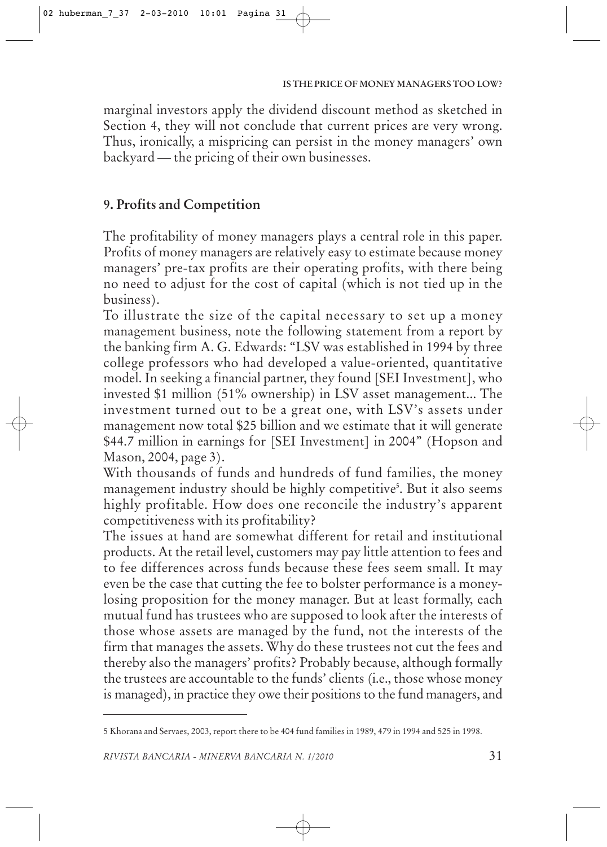marginal investors apply the dividend discount method as sketched in Section 4, they will not conclude that current prices are very wrong. Thus, ironically, a mispricing can persist in the money managers' own backyard — the pricing of their own businesses.

## **9. Profits and Competition**

The profitability of money managers plays a central role in this paper. Profits of money managers are relatively easy to estimate because money managers' pre-tax profits are their operating profits, with there being no need to adjust for the cost of capital (which is not tied up in the business).

To illustrate the size of the capital necessary to set up a money management business, note the following statement from a report by the banking firm A. G. Edwards: "LSV was established in 1994 by three college professors who had developed a value-oriented, quantitative model. In seeking a financial partner, they found [SEI Investment], who invested \$1 million (51% ownership) in LSV asset management... The investment turned out to be a great one, with LSV's assets under management now total \$25 billion and we estimate that it will generate \$44.7 million in earnings for [SEI Investment] in 2004" (Hopson and Mason, 2004, page 3).

With thousands of funds and hundreds of fund families, the money management industry should be highly competitive<sup>5</sup>. But it also seems highly profitable. How does one reconcile the industry's apparent competitiveness with its profitability?

The issues at hand are somewhat different for retail and institutional products. At the retail level, customers may pay little attention to fees and to fee differences across funds because these fees seem small. It may even be the case that cutting the fee to bolster performance is a moneylosing proposition for the money manager. But at least formally, each mutual fund has trustees who are supposed to look after the interests of those whose assets are managed by the fund, not the interests of the firm that manages the assets. Why do these trustees not cut the fees and thereby also the managers' profits? Probably because, although formally the trustees are accountable to the funds' clients (i.e., those whose money is managed), in practice they owe their positions to the fund managers, and

<sup>5</sup> Khorana and Servaes, 2003, report there to be 404 fund families in 1989, 479 in 1994 and 525 in 1998.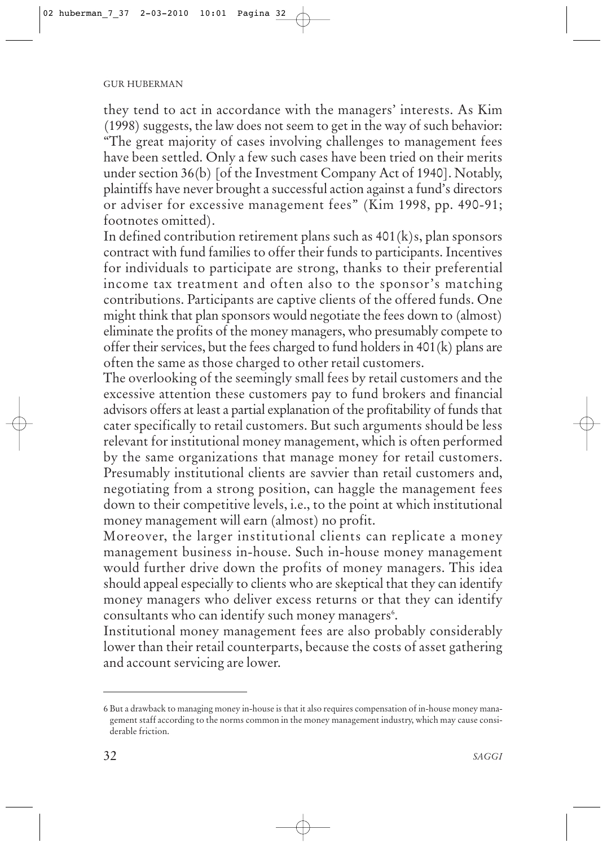they tend to act in accordance with the managers' interests. As Kim (1998) suggests, the law does not seem to get in the way of such behavior: "The great majority of cases involving challenges to management fees have been settled. Only a few such cases have been tried on their merits under section 36(b) [of the Investment Company Act of 1940]. Notably, plaintiffs have never brought a successful action against a fund's directors or adviser for excessive management fees" (Kim 1998, pp. 490-91; footnotes omitted).

In defined contribution retirement plans such as 401(k)s, plan sponsors contract with fund families to offer their funds to participants. Incentives for individuals to participate are strong, thanks to their preferential income tax treatment and often also to the sponsor's matching contributions. Participants are captive clients of the offered funds. One might think that plan sponsors would negotiate the fees down to (almost) eliminate the profits of the money managers, who presumably compete to offer their services, but the fees charged to fund holders in 401(k) plans are often the same as those charged to other retail customers.

The overlooking of the seemingly small fees by retail customers and the excessive attention these customers pay to fund brokers and financial advisors offers at least a partial explanation of the profitability of funds that cater specifically to retail customers. But such arguments should be less relevant for institutional money management, which is often performed by the same organizations that manage money for retail customers. Presumably institutional clients are savvier than retail customers and, negotiating from a strong position, can haggle the management fees down to their competitive levels, i.e., to the point at which institutional money management will earn (almost) no profit.

Moreover, the larger institutional clients can replicate a money management business in-house. Such in-house money management would further drive down the profits of money managers. This idea should appeal especially to clients who are skeptical that they can identify money managers who deliver excess returns or that they can identify consultants who can identify such money managers<sup>6</sup>.

Institutional money management fees are also probably considerably lower than their retail counterparts, because the costs of asset gathering and account servicing are lower.

<sup>6</sup> But a drawback to managing money in-house is that it also requires compensation of in-house money management staff according to the norms common in the money management industry, which may cause considerable friction.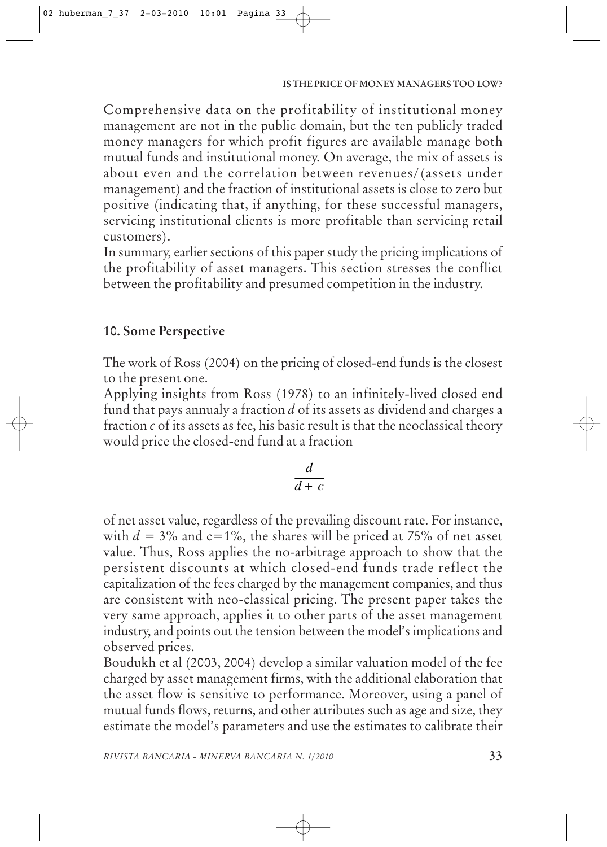Comprehensive data on the profitability of institutional money management are not in the public domain, but the ten publicly traded money managers for which profit figures are available manage both mutual funds and institutional money. On average, the mix of assets is about even and the correlation between revenues/(assets under management) and the fraction of institutional assets is close to zero but positive (indicating that, if anything, for these successful managers, servicing institutional clients is more profitable than servicing retail customers).

In summary, earlier sections of this paper study the pricing implications of the profitability of asset managers. This section stresses the conflict between the profitability and presumed competition in the industry.

# **10. Some Perspective**

The work of Ross (2004) on the pricing of closed-end funds is the closest to the present one.

Applying insights from Ross (1978) to an infinitely-lived closed end fund that pays annualy a fraction *d* of its assets as dividend and charges a fraction *c* of its assets as fee, his basic result is that the neoclassical theory would price the closed-end fund at a fraction

$$
\frac{d}{d+c}
$$

of net asset value, regardless of the prevailing discount rate. For instance, with  $d = 3\%$  and  $c=1\%$ , the shares will be priced at 75% of net asset value. Thus, Ross applies the no-arbitrage approach to show that the persistent discounts at which closed-end funds trade reflect the capitalization of the fees charged by the management companies, and thus are consistent with neo-classical pricing. The present paper takes the very same approach, applies it to other parts of the asset management industry, and points out the tension between the model's implications and observed prices.

Boudukh et al (2003, 2004) develop a similar valuation model of the fee charged by asset management firms, with the additional elaboration that the asset flow is sensitive to performance. Moreover, using a panel of mutual funds flows, returns, and other attributes such as age and size, they estimate the model's parameters and use the estimates to calibrate their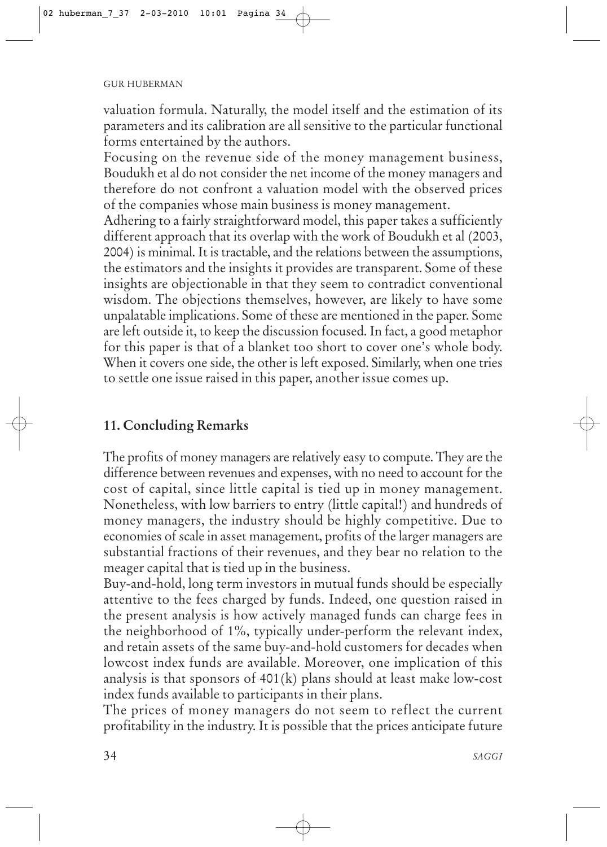valuation formula. Naturally, the model itself and the estimation of its parameters and its calibration are all sensitive to the particular functional forms entertained by the authors.

Focusing on the revenue side of the money management business, Boudukh et al do not consider the net income of the money managers and therefore do not confront a valuation model with the observed prices of the companies whose main business is money management.

Adhering to a fairly straightforward model, this paper takes a sufficiently different approach that its overlap with the work of Boudukh et al (2003, 2004) is minimal. It is tractable, and the relations between the assumptions, the estimators and the insights it provides are transparent. Some of these insights are objectionable in that they seem to contradict conventional wisdom. The objections themselves, however, are likely to have some unpalatable implications. Some of these are mentioned in the paper. Some are left outside it, to keep the discussion focused. In fact, a good metaphor for this paper is that of a blanket too short to cover one's whole body. When it covers one side, the other is left exposed. Similarly, when one tries to settle one issue raised in this paper, another issue comes up.

# **11. Concluding Remarks**

The profits of money managers are relatively easy to compute. They are the difference between revenues and expenses, with no need to account for the cost of capital, since little capital is tied up in money management. Nonetheless, with low barriers to entry (little capital!) and hundreds of money managers, the industry should be highly competitive. Due to economies of scale in asset management, profits of the larger managers are substantial fractions of their revenues, and they bear no relation to the meager capital that is tied up in the business.

Buy-and-hold, long term investors in mutual funds should be especially attentive to the fees charged by funds. Indeed, one question raised in the present analysis is how actively managed funds can charge fees in the neighborhood of 1%, typically under-perform the relevant index, and retain assets of the same buy-and-hold customers for decades when lowcost index funds are available. Moreover, one implication of this analysis is that sponsors of 401(k) plans should at least make low-cost index funds available to participants in their plans.

The prices of money managers do not seem to reflect the current profitability in the industry. It is possible that the prices anticipate future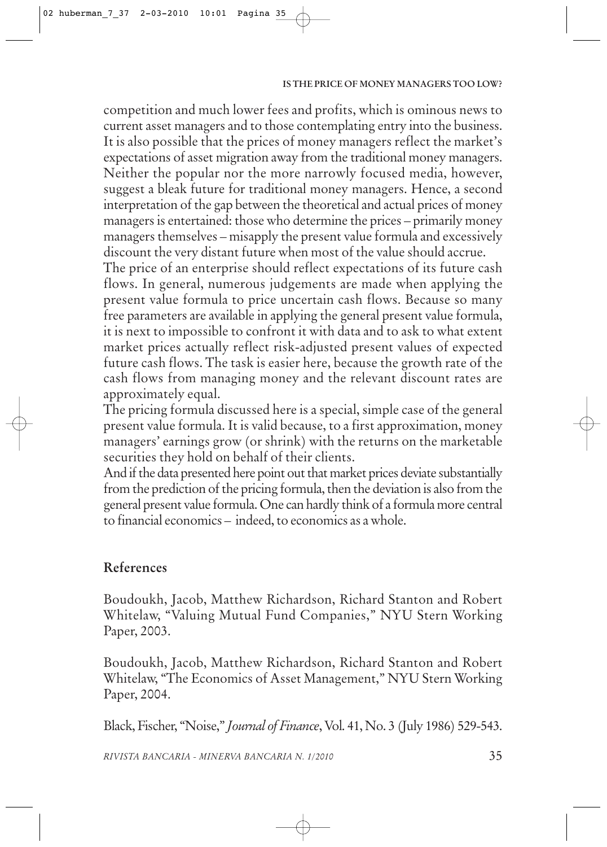competition and much lower fees and profits, which is ominous news to current asset managers and to those contemplating entry into the business. It is also possible that the prices of money managers reflect the market's expectations of asset migration away from the traditional money managers. Neither the popular nor the more narrowly focused media, however, suggest a bleak future for traditional money managers. Hence, a second interpretation of the gap between the theoretical and actual prices of money managers is entertained: those who determine the prices – primarily money managers themselves – misapply the present value formula and excessively discount the very distant future when most of the value should accrue.

The price of an enterprise should reflect expectations of its future cash flows. In general, numerous judgements are made when applying the present value formula to price uncertain cash flows. Because so many free parameters are available in applying the general present value formula, it is next to impossible to confront it with data and to ask to what extent market prices actually reflect risk-adjusted present values of expected future cash flows. The task is easier here, because the growth rate of the cash flows from managing money and the relevant discount rates are approximately equal.

The pricing formula discussed here is a special, simple case of the general present value formula. It is valid because, to a first approximation, money managers' earnings grow (or shrink) with the returns on the marketable securities they hold on behalf of their clients.

And if the data presented here point out that market prices deviate substantially from the prediction of the pricing formula, then the deviation is also from the general present value formula. One can hardly think of a formula more central to financial economics – indeed, to economics as a whole.

# **References**

Boudoukh, Jacob, Matthew Richardson, Richard Stanton and Robert Whitelaw, "Valuing Mutual Fund Companies," NYU Stern Working Paper, 2003.

Boudoukh, Jacob, Matthew Richardson, Richard Stanton and Robert Whitelaw, "The Economics of Asset Management," NYU Stern Working Paper, 2004.

Black, Fischer, "Noise," *Journal of Finance*, Vol. 41, No. 3 (July 1986) 529-543.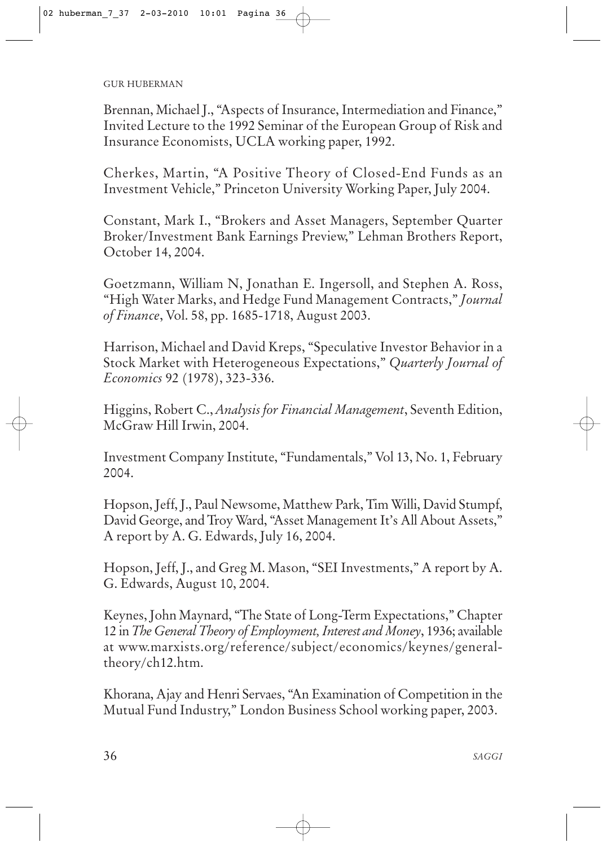#### GUR HUBERMAN

Brennan, Michael J., "Aspects of Insurance, Intermediation and Finance," Invited Lecture to the 1992 Seminar of the European Group of Risk and Insurance Economists, UCLA working paper, 1992.

Cherkes, Martin, "A Positive Theory of Closed-End Funds as an Investment Vehicle," Princeton University Working Paper, July 2004.

Constant, Mark I., "Brokers and Asset Managers, September Quarter Broker/Investment Bank Earnings Preview," Lehman Brothers Report, October 14, 2004.

Goetzmann, William N, Jonathan E. Ingersoll, and Stephen A. Ross, "High Water Marks, and Hedge Fund Management Contracts," *Journal of Finance*, Vol. 58, pp. 1685-1718, August 2003.

Harrison, Michael and David Kreps, "Speculative Investor Behavior in a Stock Market with Heterogeneous Expectations," *Quarterly Journal of Economics* 92 (1978), 323-336.

Higgins, Robert C., *Analysis for Financial Management*, Seventh Edition, McGraw Hill Irwin, 2004.

Investment Company Institute, "Fundamentals," Vol 13, No. 1, February 2004.

Hopson, Jeff, J., Paul Newsome, Matthew Park, Tim Willi, David Stumpf, David George, and Troy Ward, "Asset Management It's All About Assets," A report by A. G. Edwards, July 16, 2004.

Hopson, Jeff, J., and Greg M. Mason, "SEI Investments," A report by A. G. Edwards, August 10, 2004.

Keynes, John Maynard, "The State of Long-Term Expectations," Chapter 12 in *The General Theory of Employment, Interest and Money*, 1936; available at www.marxists.org/reference/subject/economics/keynes/generaltheory/ch12.htm.

Khorana, Ajay and Henri Servaes, "An Examination of Competition in the Mutual Fund Industry," London Business School working paper, 2003.